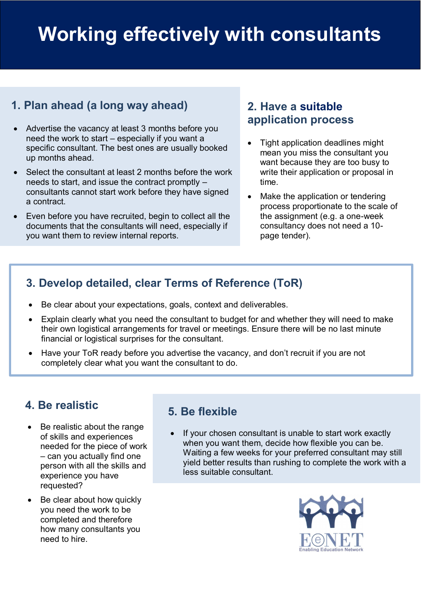# **Working effectively with consultants**

## **1. Plan ahead (a long way ahead)**

- Advertise the vacancy at least 3 months before you need the work to start – especially if you want a specific consultant. The best ones are usually booked up months ahead.
- Select the consultant at least 2 months before the work needs to start, and issue the contract promptly – consultants cannot start work before they have signed a contract.
- **1.**  Even before you have recruited, begin to collect all the documents that the consultants will need, especially if you want them to review internal reports.

#### **2. Have a suitable application process**

- Tight application deadlines might mean you miss the consultant you want because they are too busy to write their application or proposal in time.
- Make the application or tendering process proportionate to the scale of the assignment (e.g. a one-week consultancy does not need a 10 page tender).

# p **3. Develop detailed, clear Terms of Reference (ToR)**

- Be clear about your expectations, goals, context and deliverables.
- Explain clearly what you need the consultant to budget for and whether they will need to make their own logistical arrangements for travel or meetings. Ensure there will be no last minute financial or logistical surprises for the consultant.
- Have your ToR ready before you advertise the vacancy, and don't recruit if you are not completely clear what you want the consultant to do.

#### **4. Be realistic**

- Be realistic about the range of skills and experiences needed for the piece of work – can you actually find one person with all the skills and experience you have requested?
- Be clear about how quickly you need the work to be completed and therefore how many consultants you need to hire.

### **5. Be flexible**

• If your chosen consultant is unable to start work exactly when you want them, decide how flexible you can be. Waiting a few weeks for your preferred consultant may still yield better results than rushing to complete the work with a less suitable consultant.